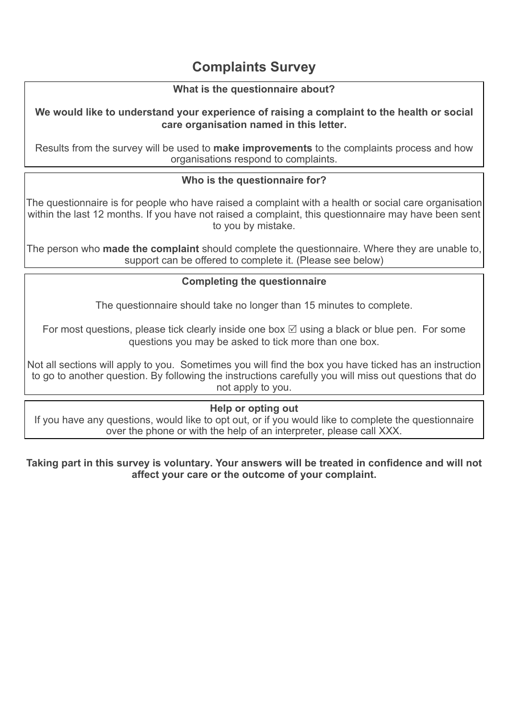# **Complaints Survey**

### **What is the questionnaire about?**

#### **We would like to understand your experience of raising a complaint to the health or social care organisation named in this letter.**

Results from the survey will be used to **make improvements** to the complaints process and how organisations respond to complaints.

### **Who is the questionnaire for?**

The questionnaire is for people who have raised a complaint with a health or social care organisation within the last 12 months. If you have not raised a complaint, this questionnaire may have been sent to you by mistake.

The person who **made the complaint** should complete the questionnaire. Where they are unable to, support can be offered to complete it. (Please see below)

### **Completing the questionnaire**

The questionnaire should take no longer than 15 minutes to complete.

For most questions, please tick clearly inside one box  $\boxtimes$  using a black or blue pen. For some questions you may be asked to tick more than one box.

Not all sections will apply to you. Sometimes you will find the box you have ticked has an instruction to go to another question. By following the instructions carefully you will miss out questions that do not apply to you.

### **Help or opting out**

If you have any questions, would like to opt out, or if you would like to complete the questionnaire over the phone or with the help of an interpreter, please call XXX.

#### **Taking part in this survey is voluntary. Your answers will be treated in confidence and will not affect your care or the outcome of your complaint.**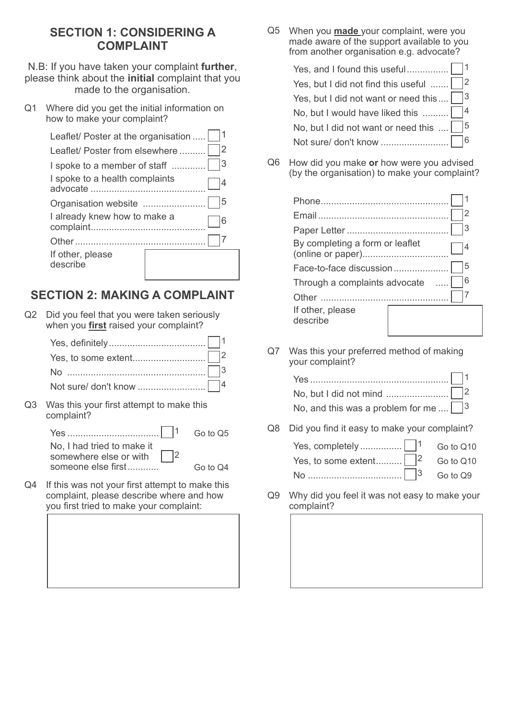### **SECTION 1: CONSIDERING A COMPLAINT**

N.B: If you have taken your complaint **further**, please think about the **initial** complaint that you made to the organisation.

Q1 Where did you get the initial information on how to make your complaint?

| Leaflet/ Poster at the organisation |    |
|-------------------------------------|----|
| Leaflet/ Poster from elsewhere      | 12 |
| I spoke to a member of staff        | 3  |
| I spoke to a health complaints      |    |
| Organisation website                | 5  |
| I already knew how to make a        |    |
|                                     |    |
| If other, please<br>describe        |    |

# **SECTION 2: MAKING A COMPLAINT**

Q2 Did you feel that you were taken seriously when you **first** raised your complaint?

Q3 Was this your first attempt to make this complaint?

| No. I had tried to make it<br>somewhere else or with $\vert$  2 |          |
|-----------------------------------------------------------------|----------|
| someone else first                                              | Go to Q4 |

Q4 If this was not your first attempt to make this complaint, please describe where and how you first tried to make your complaint:

Q5 When you **made** your complaint, were you made aware of the support available to you from another organisation e.g. advocate?

| Yes, but I did not find this useful $\ldots$   $\vert$ 2             |
|----------------------------------------------------------------------|
| Yes, but I did not want or need this $\Box$ <sup>3</sup>             |
| No, but I would have liked this $\ldots \ldots \square$ <sup>4</sup> |
| No, but I did not want or need this $\dots$   $\vert$ <sup>5</sup>   |
|                                                                      |

Q6 How did you make **or** how were you advised (by the organisation) to make your complaint?

|                                 | 2 |
|---------------------------------|---|
|                                 | 3 |
| By completing a form or leaflet |   |
| Face-to-face discussion         | 5 |
| Through a complaints advocate   | 6 |
| Other                           |   |
| If other, please<br>describe    |   |

Q7 Was this your preferred method of making your complaint?

| No, and this was a problem for me $\Box$ <sup>3</sup> |  |
|-------------------------------------------------------|--|

Q8 Did you find it easy to make your complaint?

| Yes, to some extent $\vert$ $\vert^2$ Go to Q10 |  |
|-------------------------------------------------|--|
|                                                 |  |

Q9 Why did you feel it was not easy to make your complaint?

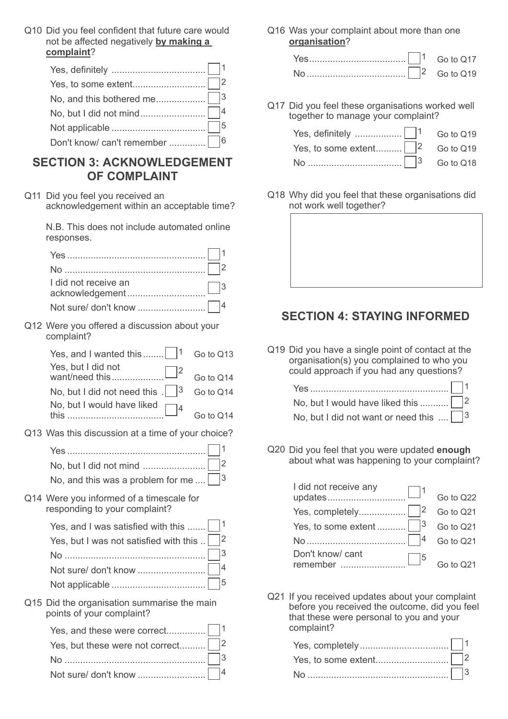Q10 Did you feel confident that future care would not be affected negatively **by making a complaint**?

### **SECTION 3: ACKNOWLEDGEMENT OF COMPLAINT**

Q11 Did you feel you received an acknowledgement within an acceptable time?

> N.B. This does not include automated online responses.

| I did not receive an |  |
|----------------------|--|
|                      |  |
|                      |  |

Q12 Were you offered a discussion about your complaint?

| Yes, and I wanted this $\begin{vmatrix} 1 & \text{Go to Q13} \\ 1 & \text{Go to Q13} \end{vmatrix}$ |           |
|-----------------------------------------------------------------------------------------------------|-----------|
| Yes, but I did not                                                                                  | Go to Q14 |
| No, but I did not need this $\frac{1}{3}$ Go to Q14                                                 |           |
| No, but I would have liked $\Box$ 4                                                                 | Go to Q14 |

Q13 Was this discussion at a time of your choice?

| No, and this was a problem for me $\Box^3$ |  |
|--------------------------------------------|--|

Q14 Were you informed of a timescale for responding to your complaint?

| Yes, and I was satisfied with this $\Box$ <sup>1</sup> |  |
|--------------------------------------------------------|--|
| Yes, but I was not satisfied with this $\sqrt{2}$      |  |
|                                                        |  |
|                                                        |  |
|                                                        |  |

Q15 Did the organisation summarise the main points of your complaint?

| Yes, but these were not correct $\Box$ 2 |  |
|------------------------------------------|--|
|                                          |  |
|                                          |  |

Q16 Was your complaint about more than one **organisation**?

|  | Go to Q17 |
|--|-----------|
|  | Go to Q19 |

Q17 Did you feel these organisations worked well together to manage your complaint?

| Yes, definitely $\ldots$ $\begin{bmatrix} 1 & 60 & 0 & 19 \\ 0 & 0 & 0 & 0 & 0 \end{bmatrix}$ |  |
|-----------------------------------------------------------------------------------------------|--|
|                                                                                               |  |
|                                                                                               |  |

Q18 Why did you feel that these organisations did not work well together?

## **SECTION 4: STAYING INFORMED**

Q19 Did you have a single point of contact at the organisation(s) you complained to who you could approach if you had any questions?

| No, but I would have liked this $\Box$ 2                         |  |
|------------------------------------------------------------------|--|
| No, but I did not want or need this $\ldots$ $\Box$ <sup>3</sup> |  |

Q20 Did you feel that you were updated **enough** about what was happening to your complaint?

| I did not receive any |           |
|-----------------------|-----------|
| updates               | Go to Q22 |
|                       | Go to Q21 |
|                       | Go to Q21 |
|                       | Go to Q21 |
| Don't know/ cant      |           |
| remember              | Go to Q21 |

Q21 If you received updates about your complaint before you received the outcome, did you feel that these were personal to you and your complaint?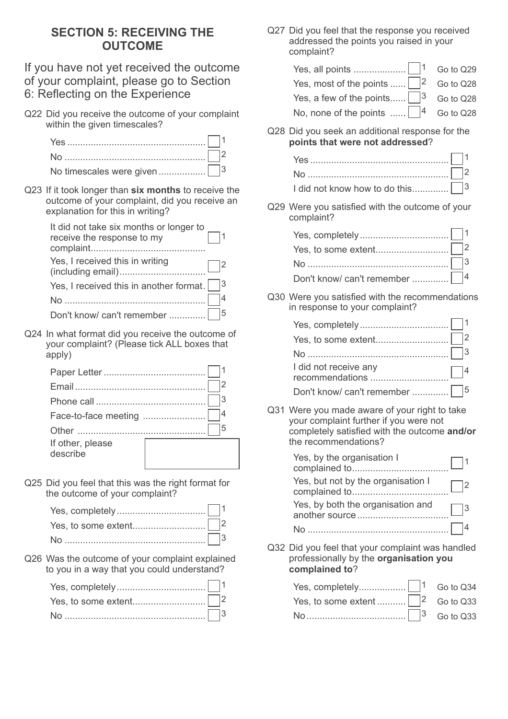## **SECTION 5: RECEIVING THE OUTCOME**

If you have not yet received the outcome of your complaint, please go to Section 6: Reflecting on the Experience

Q22 Did you receive the outcome of your complaint within the given timescales?

Q23 If it took longer than **six months** to receive the outcome of your complaint, did you receive an explanation for this in writing?

| It did not take six months or longer to<br>receive the response to my |  |
|-----------------------------------------------------------------------|--|
| Yes, I received this in writing<br>(including email)                  |  |
| Yes, I received this in another format. $ $   3                       |  |
|                                                                       |  |
| Don't know/ can't remember                                            |  |

Q24 In what format did you receive the outcome of your complaint? (Please tick ALL boxes that apply)

| Face-to-face meeting         |  |
|------------------------------|--|
|                              |  |
| If other, please<br>describe |  |

Q25 Did you feel that this was the right format for the outcome of your complaint?

Q26 Was the outcome of your complaint explained to you in a way that you could understand?

| No $\ldots$ $\Box$ 3 |  |
|----------------------|--|

Q27 Did you feel that the response you received addressed the points you raised in your complaint?

| $\sim$ $\sim$                                                                                                                                                                                                                                                                                             |           |
|-----------------------------------------------------------------------------------------------------------------------------------------------------------------------------------------------------------------------------------------------------------------------------------------------------------|-----------|
| Q28 Did you seek an additional response for the<br>points that were not addressed?                                                                                                                                                                                                                        |           |
| No, none of the points $\begin{vmatrix} 4 & 60 & 0 & 0 & 0 \\ 0 & 0 & 0 & 0 & 0 \\ 0 & 0 & 0 & 0 & 0 \\ 0 & 0 & 0 & 0 & 0 \\ 0 & 0 & 0 & 0 & 0 \\ 0 & 0 & 0 & 0 & 0 \\ 0 & 0 & 0 & 0 & 0 \\ 0 & 0 & 0 & 0 & 0 \\ 0 & 0 & 0 & 0 & 0 \\ 0 & 0 & 0 & 0 & 0 \\ 0 & 0 & 0 & 0 & 0 \\ 0 & 0 & 0 & 0 & 0 & 0 \\$ |           |
| Yes, a few of the points $\begin{vmatrix} 3 & 6 \\ 0 & 1 \end{vmatrix}$ Go to Q28                                                                                                                                                                                                                         |           |
| Yes, most of the points $\vert \vert^2$                                                                                                                                                                                                                                                                   | Go to Q28 |
|                                                                                                                                                                                                                                                                                                           |           |

| No $\ldots$ $\Box$ 2 |  |
|----------------------|--|
|                      |  |

Q29 Were you satisfied with the outcome of your complaint?

Q30 Were you satisfied with the recommendations in response to your complaint?

| I did not receive any |
|-----------------------|
|                       |

Q31 Were you made aware of your right to take your complaint further if you were not completely satisfied with the outcome **and/or**  the recommendations?

| Yes, by the organisation I                          |  |
|-----------------------------------------------------|--|
| Yes, but not by the organisation I                  |  |
| Yes, by both the organisation and<br>another source |  |
| No.                                                 |  |

Q32 Did you feel that your complaint was handled professionally by the **organisation you complained to**?

| Yes, to some extent $\sqrt{2}$ Go to Q33 |  |
|------------------------------------------|--|
|                                          |  |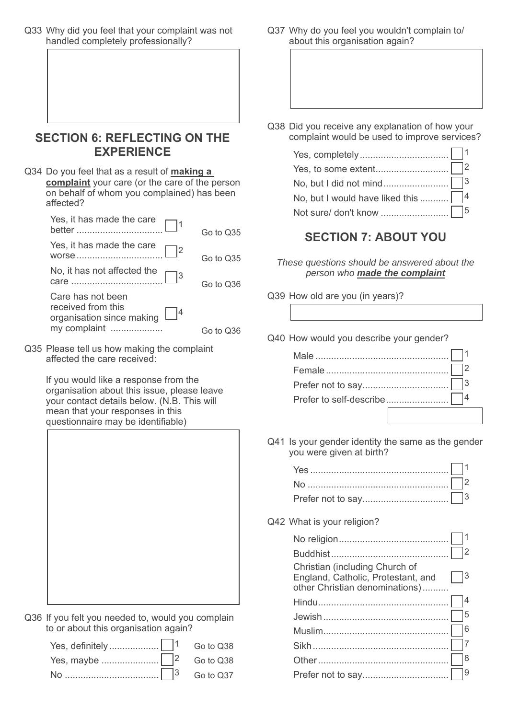Q33 Why did you feel that your complaint was not handled completely professionally?

### **SECTION 6: REFLECTING ON THE EXPERIENCE**

Q34 Do you feel that as a result of **making a complaint** your care (or the care of the person on behalf of whom you complained) has been affected?

| Yes, it has made the care<br>better                                  | Go to Q35  |
|----------------------------------------------------------------------|------------|
| Yes, it has made the care<br>WOrse                                   | Go to Q35  |
| 3                                                                    | Go to Q36  |
| Care has not been<br>received from this<br>organisation since making |            |
| my complaint                                                         | Go to 0.36 |

Q35 Please tell us how making the complaint affected the care received:

> If you would like a response from the organisation about this issue, please leave your contact details below. (N.B. This will mean that your responses in this questionnaire may be identifiable)



Q36 If you felt you needed to, would you complain to or about this organisation again?

Q37 Why do you feel you wouldn't complain to/ about this organisation again?

Q38 Did you receive any explanation of how your complaint would be used to improve services?

| No, but I would have liked this  14 |  |
|-------------------------------------|--|
|                                     |  |

## **SECTION 7: ABOUT YOU**

- *These questions should be answered about the person who made the complaint*
- Q39 How old are you (in years)?
- Q40 How would you describe your gender?

Q41 Is your gender identity the same as the gender you were given at birth?

| No $\sim$ 2 |  |
|-------------|--|
|             |  |

Q42 What is your religion?

| Christian (including Church of<br>England, Catholic, Protestant, and<br>other Christian denominations) | l3 |
|--------------------------------------------------------------------------------------------------------|----|
|                                                                                                        |    |
|                                                                                                        | 5  |
|                                                                                                        |    |
|                                                                                                        |    |
|                                                                                                        | l8 |
|                                                                                                        | 9  |